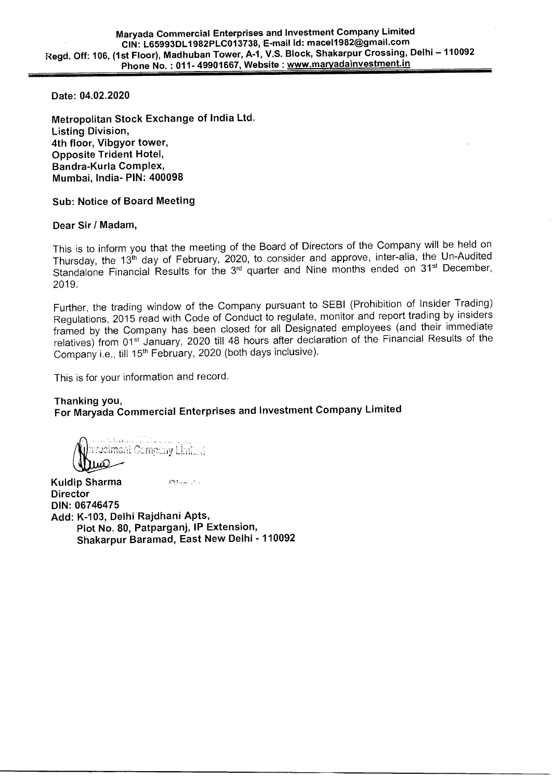**Date: 04.02.2020** 

**Metropolitan Stock Exchange of India Ltd. Listing Division, 4th floor, Vibgyor tower, Opposite Trident Hotel, Bandra-Kurla Complex, Mumbai, India- PIN: 400098** 

## **Sub: Notice of Board Meeting**

## **Dear Sir / Madam,**

This is to inform you that the meeting of the Board of Directors of the Company will be held on Thursday, the 13<sup>th</sup> day of February, 2020, to consider and approve, inter-alia, the Un-Audited Standalone Financial Results for the 3<sup>rd</sup> quarter and Nine months ended on 31<sup>st</sup> December, 2019.

Further, the trading window of the Company pursuant to SEBI (Prohibition of Insider Trading) Regulations, 2015 read with Code of Conduct to regulate, monitor and report trading by insiders framed by the Company has been closed for all Designated employees (and their immediate relatives) from 01st January, 2020 till 48 hours after declaration of the Financial Results of the Company i.e., till 15<sup>th</sup> February, 2020 (both days inclusive).

This is for your information and record.

**Thanking you, For Maryada Commercial Enterprises and Investment Company Limited** 

vestment Company Limited

**Kuldip Sharma Information Director DIN: 06746475 Add: K-103, Delhi Rajdhani Apts, Plot No. 80, Patparganj, IP Extension, Shakarpur Baramad, East New Delhi - 110092**